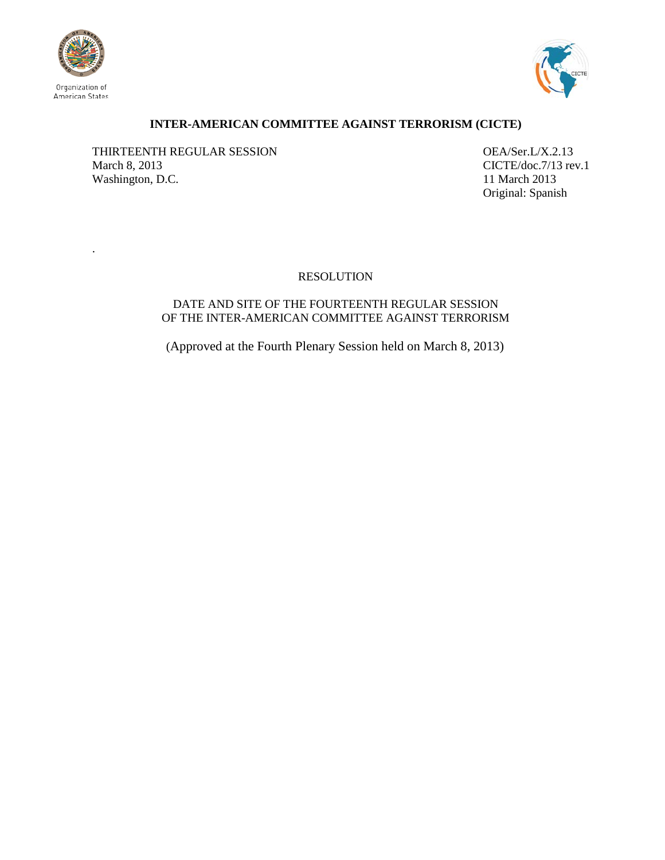

.



# **INTER-AMERICAN COMMITTEE AGAINST TERRORISM (CICTE)**

THIRTEENTH REGULAR SESSION OEA/Ser.L/X.2.13 March 8, 2013<br>Washington, D.C. 11 March 2013<br>11 March 2013 Washington, D.C.

Original: Spanish

# RESOLUTION

## DATE AND SITE OF THE FOURTEENTH REGULAR SESSION OF THE INTER-AMERICAN COMMITTEE AGAINST TERRORISM

(Approved at the Fourth Plenary Session held on March 8, 2013)